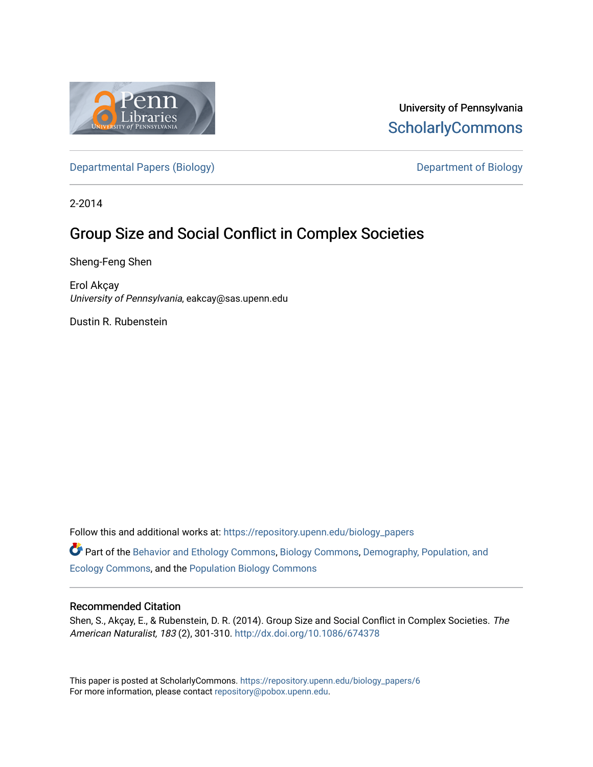

University of Pennsylvania **ScholarlyCommons** 

[Departmental Papers \(Biology\)](https://repository.upenn.edu/biology_papers) and Department of Biology

2-2014

# Group Size and Social Conflict in Complex Societies

Sheng-Feng Shen

Erol Akçay University of Pennsylvania, eakcay@sas.upenn.edu

Dustin R. Rubenstein

Follow this and additional works at: [https://repository.upenn.edu/biology\\_papers](https://repository.upenn.edu/biology_papers?utm_source=repository.upenn.edu%2Fbiology_papers%2F6&utm_medium=PDF&utm_campaign=PDFCoverPages) 

Part of the [Behavior and Ethology Commons,](http://network.bepress.com/hgg/discipline/15?utm_source=repository.upenn.edu%2Fbiology_papers%2F6&utm_medium=PDF&utm_campaign=PDFCoverPages) [Biology Commons,](http://network.bepress.com/hgg/discipline/41?utm_source=repository.upenn.edu%2Fbiology_papers%2F6&utm_medium=PDF&utm_campaign=PDFCoverPages) [Demography, Population, and](http://network.bepress.com/hgg/discipline/418?utm_source=repository.upenn.edu%2Fbiology_papers%2F6&utm_medium=PDF&utm_campaign=PDFCoverPages) [Ecology Commons,](http://network.bepress.com/hgg/discipline/418?utm_source=repository.upenn.edu%2Fbiology_papers%2F6&utm_medium=PDF&utm_campaign=PDFCoverPages) and the [Population Biology Commons](http://network.bepress.com/hgg/discipline/19?utm_source=repository.upenn.edu%2Fbiology_papers%2F6&utm_medium=PDF&utm_campaign=PDFCoverPages)

### Recommended Citation

Shen, S., Akçay, E., & Rubenstein, D. R. (2014). Group Size and Social Conflict in Complex Societies. The American Naturalist, 183 (2), 301-310. <http://dx.doi.org/10.1086/674378>

This paper is posted at ScholarlyCommons. [https://repository.upenn.edu/biology\\_papers/6](https://repository.upenn.edu/biology_papers/6) For more information, please contact [repository@pobox.upenn.edu.](mailto:repository@pobox.upenn.edu)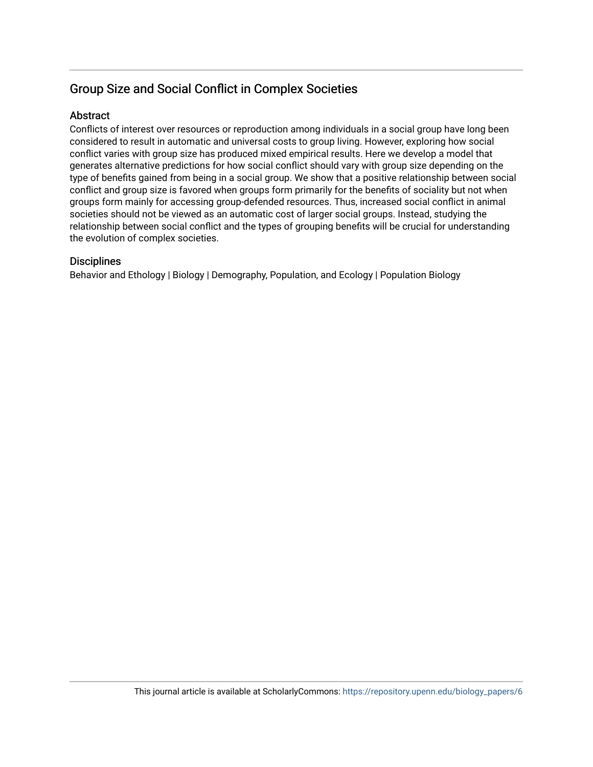## Group Size and Social Conflict in Complex Societies

## **Abstract**

Conflicts of interest over resources or reproduction among individuals in a social group have long been considered to result in automatic and universal costs to group living. However, exploring how social conflict varies with group size has produced mixed empirical results. Here we develop a model that generates alternative predictions for how social conflict should vary with group size depending on the type of benefits gained from being in a social group. We show that a positive relationship between social conflict and group size is favored when groups form primarily for the benefits of sociality but not when groups form mainly for accessing group-defended resources. Thus, increased social conflict in animal societies should not be viewed as an automatic cost of larger social groups. Instead, studying the relationship between social conflict and the types of grouping benefits will be crucial for understanding the evolution of complex societies.

## **Disciplines**

Behavior and Ethology | Biology | Demography, Population, and Ecology | Population Biology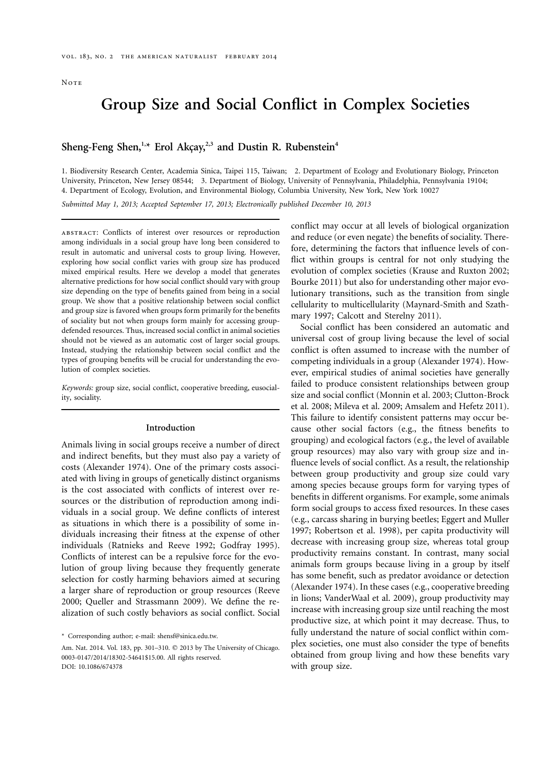## **Group Size and Social Conflict in Complex Societies**

### Sheng-Feng Shen,<sup>1,\*</sup> Erol Akçay,<sup>2,3</sup> and Dustin R. Rubenstein<sup>4</sup>

1. Biodiversity Research Center, Academia Sinica, Taipei 115, Taiwan; 2. Department of Ecology and Evolutionary Biology, Princeton University, Princeton, New Jersey 08544; 3. Department of Biology, University of Pennsylvania, Philadelphia, Pennsylvania 19104; 4. Department of Ecology, Evolution, and Environmental Biology, Columbia University, New York, New York 10027

*Submitted May 1, 2013; Accepted September 17, 2013; Electronically published December 10, 2013*

abstract: Conflicts of interest over resources or reproduction among individuals in a social group have long been considered to result in automatic and universal costs to group living. However, exploring how social conflict varies with group size has produced mixed empirical results. Here we develop a model that generates alternative predictions for how social conflict should vary with group size depending on the type of benefits gained from being in a social group. We show that a positive relationship between social conflict and group size is favored when groups form primarily for the benefits of sociality but not when groups form mainly for accessing groupdefended resources. Thus, increased social conflict in animal societies should not be viewed as an automatic cost of larger social groups. Instead, studying the relationship between social conflict and the types of grouping benefits will be crucial for understanding the evolution of complex societies.

*Keywords:* group size, social conflict, cooperative breeding, eusociality, sociality.

#### **Introduction**

Animals living in social groups receive a number of direct and indirect benefits, but they must also pay a variety of costs (Alexander 1974). One of the primary costs associated with living in groups of genetically distinct organisms is the cost associated with conflicts of interest over resources or the distribution of reproduction among individuals in a social group. We define conflicts of interest as situations in which there is a possibility of some individuals increasing their fitness at the expense of other individuals (Ratnieks and Reeve 1992; Godfray 1995). Conflicts of interest can be a repulsive force for the evolution of group living because they frequently generate selection for costly harming behaviors aimed at securing a larger share of reproduction or group resources (Reeve 2000; Queller and Strassmann 2009). We define the realization of such costly behaviors as social conflict. Social

\* Corresponding author; e-mail: [shensf@sinica.edu.tw.](mailto:shensf@sinica.edu.tw)

Am. Nat. 2014. Vol. 183, pp. 301-310. © 2013 by The University of Chicago. 0003-0147/2014/18302-54641\$15.00. All rights reserved. DOI: 10.1086/674378

conflict may occur at all levels of biological organization and reduce (or even negate) the benefits of sociality. Therefore, determining the factors that influence levels of conflict within groups is central for not only studying the evolution of complex societies (Krause and Ruxton 2002; Bourke 2011) but also for understanding other major evolutionary transitions, such as the transition from single cellularity to multicellularity (Maynard-Smith and Szathmary 1997; Calcott and Sterelny 2011).

Social conflict has been considered an automatic and universal cost of group living because the level of social conflict is often assumed to increase with the number of competing individuals in a group (Alexander 1974). However, empirical studies of animal societies have generally failed to produce consistent relationships between group size and social conflict (Monnin et al. 2003; Clutton-Brock et al. 2008; Mileva et al. 2009; Amsalem and Hefetz 2011). This failure to identify consistent patterns may occur because other social factors (e.g., the fitness benefits to grouping) and ecological factors (e.g., the level of available group resources) may also vary with group size and influence levels of social conflict. As a result, the relationship between group productivity and group size could vary among species because groups form for varying types of benefits in different organisms. For example, some animals form social groups to access fixed resources. In these cases (e.g., carcass sharing in burying beetles; Eggert and Muller 1997; Robertson et al. 1998), per capita productivity will decrease with increasing group size, whereas total group productivity remains constant. In contrast, many social animals form groups because living in a group by itself has some benefit, such as predator avoidance or detection (Alexander 1974). In these cases (e.g., cooperative breeding in lions; VanderWaal et al. 2009), group productivity may increase with increasing group size until reaching the most productive size, at which point it may decrease. Thus, to fully understand the nature of social conflict within complex societies, one must also consider the type of benefits obtained from group living and how these benefits vary with group size.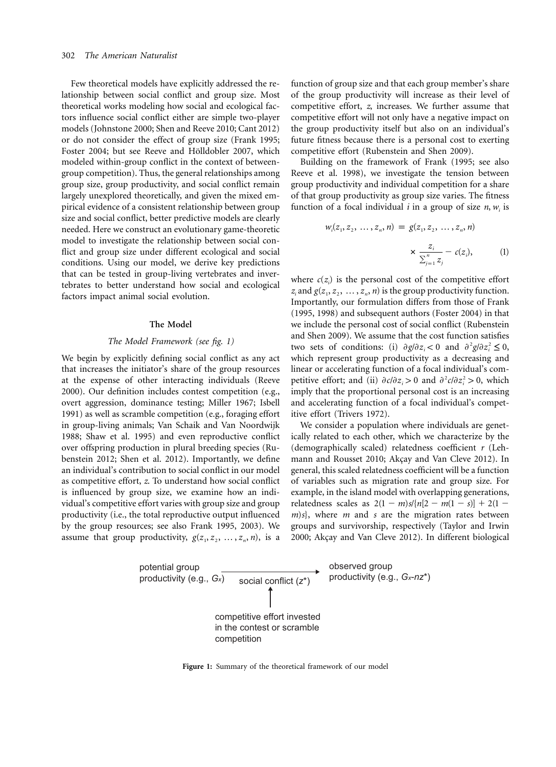Few theoretical models have explicitly addressed the relationship between social conflict and group size. Most theoretical works modeling how social and ecological factors influence social conflict either are simple two-player models (Johnstone 2000; Shen and Reeve 2010; Cant 2012) or do not consider the effect of group size (Frank 1995; Foster 2004; but see Reeve and Hölldobler 2007, which modeled within-group conflict in the context of betweengroup competition). Thus, the general relationships among group size, group productivity, and social conflict remain largely unexplored theoretically, and given the mixed empirical evidence of a consistent relationship between group size and social conflict, better predictive models are clearly needed. Here we construct an evolutionary game-theoretic model to investigate the relationship between social conflict and group size under different ecological and social conditions. Using our model, we derive key predictions that can be tested in group-living vertebrates and invertebrates to better understand how social and ecological factors impact animal social evolution.

#### **The Model**

#### *The Model Framework (see fig. 1)*

We begin by explicitly defining social conflict as any act that increases the initiator's share of the group resources at the expense of other interacting individuals (Reeve 2000). Our definition includes contest competition (e.g., overt aggression, dominance testing; Miller 1967; Isbell 1991) as well as scramble competition (e.g., foraging effort in group-living animals; Van Schaik and Van Noordwijk 1988; Shaw et al. 1995) and even reproductive conflict over offspring production in plural breeding species (Rubenstein 2012; Shen et al. 2012). Importantly, we define an individual's contribution to social conflict in our model as competitive effort, *z*. To understand how social conflict is influenced by group size, we examine how an individual's competitive effort varies with group size and group productivity (i.e., the total reproductive output influenced by the group resources; see also Frank 1995, 2003). We assume that group productivity,  $g(z_1, z_2, \ldots, z_n, n)$ , is a

function of group size and that each group member's share of the group productivity will increase as their level of competitive effort, *z*, increases. We further assume that competitive effort will not only have a negative impact on the group productivity itself but also on an individual's future fitness because there is a personal cost to exerting competitive effort (Rubenstein and Shen 2009).

Building on the framework of Frank (1995; see also Reeve et al. 1998), we investigate the tension between group productivity and individual competition for a share of that group productivity as group size varies. The fitness function of a focal individual *i* in a group of size  $n$ ,  $w_i$  is

$$
w_i(z_1, z_2, \dots, z_n, n) = g(z_1, z_2, \dots, z_n, n)
$$

$$
\times \frac{z_i}{\sum_{j=1}^n z_j} - c(z_i), \qquad (1)
$$

where  $c(z_i)$  is the personal cost of the competitive effort  $z_i$  and  $g(z_1, z_2, \ldots, z_n, n)$  is the group productivity function. Importantly, our formulation differs from those of Frank (1995, 1998) and subsequent authors (Foster 2004) in that we include the personal cost of social conflict (Rubenstein and Shen 2009). We assume that the cost function satisfies two sets of conditions: (i)  $\partial g / \partial z_i < 0$  and  $\partial^2 g / \partial z_i^2 \leq 0$ , which represent group productivity as a decreasing and linear or accelerating function of a focal individual's competitive effort; and (ii)  $\partial c/\partial z_i > 0$  and  $\partial^2 c/\partial z_i^2 > 0$ , which imply that the proportional personal cost is an increasing and accelerating function of a focal individual's competitive effort (Trivers 1972).

We consider a population where individuals are genetically related to each other, which we characterize by the (demographically scaled) relatedness coefficient *r* (Lehmann and Rousset 2010; Akçay and Van Cleve 2012). In general, this scaled relatedness coefficient will be a function of variables such as migration rate and group size. For example, in the island model with overlapping generations, relatedness scales as  $2(1 - m)s/{n[2 - m(1 - s)]} + 2(1$ *m*)*s*}, where *m* and *s* are the migration rates between groups and survivorship, respectively (Taylor and Irwin 2000; Akçay and Van Cleve 2012). In different biological



**Figure 1:** Summary of the theoretical framework of our model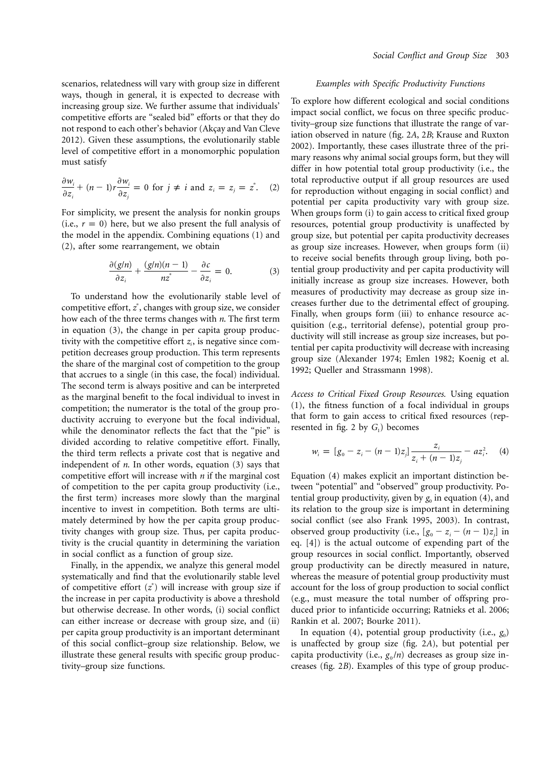scenarios, relatedness will vary with group size in different ways, though in general, it is expected to decrease with increasing group size. We further assume that individuals' competitive efforts are "sealed bid" efforts or that they do not respond to each other's behavior (Akçay and Van Cleve 2012). Given these assumptions, the evolutionarily stable level of competitive effort in a monomorphic population must satisfy

$$
\frac{\partial w_i}{\partial z_i} + (n-1)r \frac{\partial w_i}{\partial z_j} = 0 \text{ for } j \neq i \text{ and } z_i = z_j = z^*.
$$
 (2)

For simplicity, we present the analysis for nonkin groups (i.e.,  $r = 0$ ) here, but we also present the full analysis of the model in the appendix. Combining equations (1) and (2), after some rearrangement, we obtain

$$
\frac{\partial (g/n)}{\partial z_i} + \frac{(g/n)(n-1)}{nz^*} - \frac{\partial c}{\partial z_i} = 0.
$$
 (3)

To understand how the evolutionarily stable level of competitive effort,  $z^*$ , changes with group size, we consider how each of the three terms changes with *n*. The first term in equation (3), the change in per capita group productivity with the competitive effort  $z_i$ , is negative since competition decreases group production. This term represents the share of the marginal cost of competition to the group that accrues to a single (in this case, the focal) individual. The second term is always positive and can be interpreted as the marginal benefit to the focal individual to invest in competition; the numerator is the total of the group productivity accruing to everyone but the focal individual, while the denominator reflects the fact that the "pie" is divided according to relative competitive effort. Finally, the third term reflects a private cost that is negative and independent of *n*. In other words, equation (3) says that competitive effort will increase with *n* if the marginal cost of competition to the per capita group productivity (i.e., the first term) increases more slowly than the marginal incentive to invest in competition. Both terms are ultimately determined by how the per capita group productivity changes with group size. Thus, per capita productivity is the crucial quantity in determining the variation in social conflict as a function of group size.

Finally, in the appendix, we analyze this general model systematically and find that the evolutionarily stable level of competitive effort  $(z^*)$  will increase with group size if the increase in per capita productivity is above a threshold but otherwise decrease. In other words, (i) social conflict can either increase or decrease with group size, and (ii) per capita group productivity is an important determinant of this social conflict–group size relationship. Below, we illustrate these general results with specific group productivity–group size functions.

#### *Examples with Specific Productivity Functions*

To explore how different ecological and social conditions impact social conflict, we focus on three specific productivity–group size functions that illustrate the range of variation observed in nature (fig. 2*A*, 2*B*; Krause and Ruxton 2002). Importantly, these cases illustrate three of the primary reasons why animal social groups form, but they will differ in how potential total group productivity (i.e., the total reproductive output if all group resources are used for reproduction without engaging in social conflict) and potential per capita productivity vary with group size. When groups form (i) to gain access to critical fixed group resources, potential group productivity is unaffected by group size, but potential per capita productivity decreases as group size increases. However, when groups form (ii) to receive social benefits through group living, both potential group productivity and per capita productivity will initially increase as group size increases. However, both measures of productivity may decrease as group size increases further due to the detrimental effect of grouping. Finally, when groups form (iii) to enhance resource acquisition (e.g., territorial defense), potential group productivity will still increase as group size increases, but potential per capita productivity will decrease with increasing group size (Alexander 1974; Emlen 1982; Koenig et al. 1992; Queller and Strassmann 1998).

*Access to Critical Fixed Group Resources.* Using equation (1), the fitness function of a focal individual in groups that form to gain access to critical fixed resources (represented in fig. 2 by  $G_1$ ) becomes

$$
w_i = [g_0 - z_i - (n-1)z_j] \frac{z_i}{z_i + (n-1)z_j} - az_i^2.
$$
 (4)

Equation (4) makes explicit an important distinction between "potential" and "observed" group productivity. Potential group productivity, given by  $g_0$  in equation (4), and its relation to the group size is important in determining social conflict (see also Frank 1995, 2003). In contrast, observed group productivity (i.e.,  $[g_0 - z_i - (n-1)z_j]$  in eq. [4]) is the actual outcome of expending part of the group resources in social conflict. Importantly, observed group productivity can be directly measured in nature, whereas the measure of potential group productivity must account for the loss of group production to social conflict (e.g., must measure the total number of offspring produced prior to infanticide occurring; Ratnieks et al. 2006; Rankin et al. 2007; Bourke 2011).

In equation  $(4)$ , potential group productivity  $(i.e., g<sub>0</sub>)$ is unaffected by group size (fig. 2*A*), but potential per capita productivity (i.e.,  $g_0/n$ ) decreases as group size increases (fig. 2*B*). Examples of this type of group produc-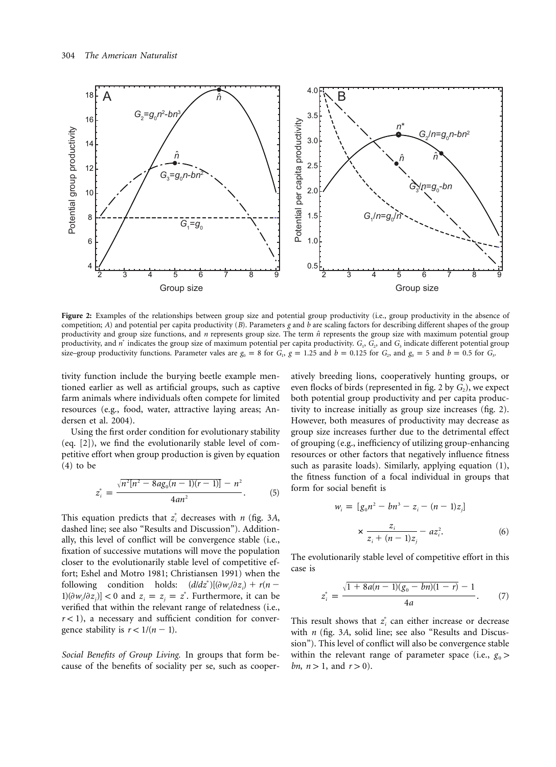

Figure 2: Examples of the relationships between group size and potential group productivity (i.e., group productivity in the absence of competition; *A*) and potential per capita productivity (*B*). Parameters *g* and *b* are scaling factors for describing different shapes of the group productivity and group size functions, and *n* represents group size. The term  $\hat{n}$  represents the group size with maximum potential group productivity, and  $n^*$  indicates the group size of maximum potential per capita productivity.  $G_1$ ,  $G_2$ , and  $G_3$  indicate different potential group size–group productivity functions. Parameter vales are  $g_0 = 8$  for  $G_1$ ,  $g = 1.25$  and  $b = 0.125$  for  $G_2$ , and  $g_0 = 5$  and  $b = 0.5$  for  $G_3$ .

tivity function include the burying beetle example mentioned earlier as well as artificial groups, such as captive farm animals where individuals often compete for limited resources (e.g., food, water, attractive laying areas; Andersen et al. 2004).

Using the first order condition for evolutionary stability (eq. [2]), we find the evolutionarily stable level of competitive effort when group production is given by equation (4) to be

$$
z_i^* = \frac{\sqrt{n^2[n^2 - 8ag_0(n-1)(r-1)]} - n^2}{4an^2}.
$$
 (5)

This equation predicts that  $z_i^*$  decreases with *n* (fig. 3A, dashed line; see also "Results and Discussion"). Additionally, this level of conflict will be convergence stable (i.e., fixation of successive mutations will move the population closer to the evolutionarily stable level of competitive effort; Eshel and Motro 1981; Christiansen 1991) when the following condition holds:  $(d/dz^*)[(\partial w_i/\partial z_i) + r(n [1](\partial w_i / \partial z_j)$  < 0 and  $z_i = z_j = z^*$ . Furthermore, it can be verified that within the relevant range of relatedness (i.e.,  $r$  < 1), a necessary and sufficient condition for convergence stability is  $r < 1/(n - 1)$ .

*Social Benefits of Group Living.* In groups that form because of the benefits of sociality per se, such as cooperatively breeding lions, cooperatively hunting groups, or even flocks of birds (represented in fig. 2 by  $G_2$ ), we expect both potential group productivity and per capita productivity to increase initially as group size increases (fig. 2). However, both measures of productivity may decrease as group size increases further due to the detrimental effect of grouping (e.g., inefficiency of utilizing group-enhancing resources or other factors that negatively influence fitness such as parasite loads). Similarly, applying equation (1), the fitness function of a focal individual in groups that form for social benefit is

$$
w_i = [g_0 n^2 - b n^3 - z_i - (n-1)z_j]
$$
  
 
$$
\times \frac{z_i}{z_i + (n-1)z_j} - a z_i^2.
$$
 (6)

The evolutionarily stable level of competitive effort in this case is

$$
z_i^* = \frac{\sqrt{1 + 8a(n-1)(g_0 - bn)(1 - r)} - 1}{4a}.
$$
 (7)

This result shows that  $z_i^*$  can either increase or decrease with *n* (fig. 3*A*, solid line; see also "Results and Discussion"). This level of conflict will also be convergence stable within the relevant range of parameter space (i.e.,  $g_0$ ) *bn,*  $n > 1$ *,* and  $r > 0$ *).*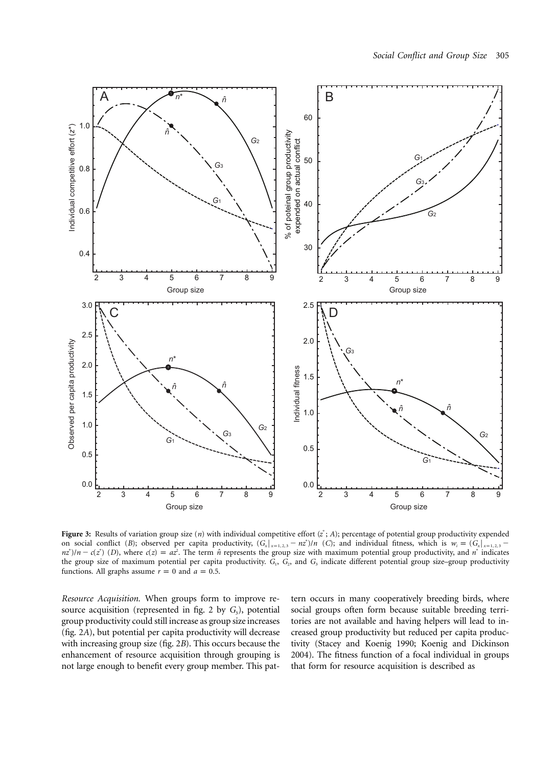

Figure 3: Results of variation group size (*n*) with individual competitive effort  $(z^*; A)$ ; percentage of potential group productivity expended on social conflict (*B*); observed per capita productivity,  $(G_x |_{x=1,2,3} - nz^*)/n$  (*C*); and individual fitness, which is  $w_i = (G_x |_{x=1,2,3} - n^*)/n$  $nz^*$ )/ $n - c(z^*)$  (*D*), where  $c(z) = az^2$ . The term  $\hat{n}$  represents the group size with maximum potential group productivity, and  $n^*$  indicates the group size of maximum potential per capita productivity.  $G_1$ ,  $G_2$ , and  $G_3$  indicate different potential group size–group productivity functions. All graphs assume  $r = 0$  and  $a = 0.5$ .

*Resource Acquisition.* When groups form to improve resource acquisition (represented in fig. 2 by  $G_3$ ), potential group productivity could still increase as group size increases (fig. 2*A*), but potential per capita productivity will decrease with increasing group size (fig. 2*B*). This occurs because the enhancement of resource acquisition through grouping is not large enough to benefit every group member. This pattern occurs in many cooperatively breeding birds, where social groups often form because suitable breeding territories are not available and having helpers will lead to increased group productivity but reduced per capita productivity (Stacey and Koenig 1990; Koenig and Dickinson 2004). The fitness function of a focal individual in groups that form for resource acquisition is described as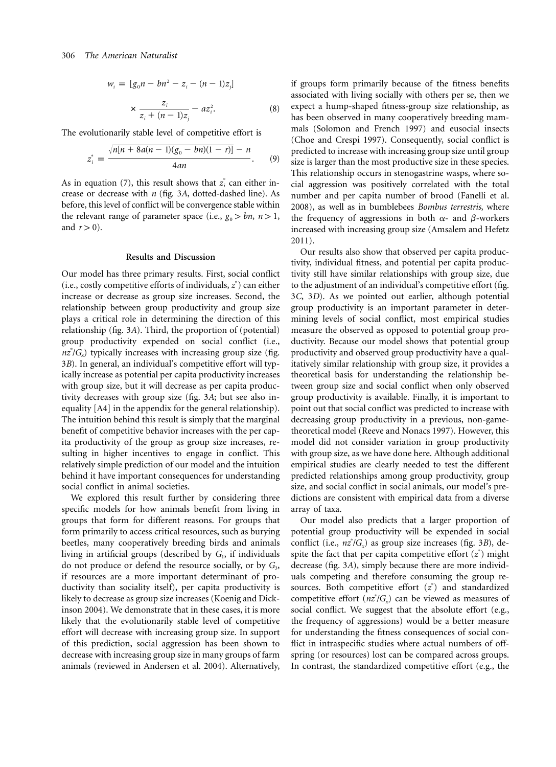$$
w_i = [g_0 n - b n^2 - z_i - (n - 1)z_j]
$$
  

$$
\times \frac{z_i}{z_i + (n - 1)z_j} - az_i^2.
$$
 (8)

The evolutionarily stable level of competitive effort is

$$
z_i^* = \frac{\sqrt{n[n+8a(n-1)(g_0-bn)(1-r)]}-n}{4an}.
$$
 (9)

As in equation (7), this result shows that  $z_i^*$  can either increase or decrease with *n* (fig. 3*A*, dotted-dashed line). As before, this level of conflict will be convergence stable within the relevant range of parameter space (i.e.,  $g_0 > bn$ ,  $n > 1$ , and  $r > 0$ ).

#### **Results and Discussion**

Our model has three primary results. First, social conflict (i.e., costly competitive efforts of individuals,  $z^*$ ) can either increase or decrease as group size increases. Second, the relationship between group productivity and group size plays a critical role in determining the direction of this relationship (fig. 3*A*). Third, the proportion of (potential) group productivity expended on social conflict (i.e.,  $nz^*/G$ , typically increases with increasing group size (fig. 3*B*). In general, an individual's competitive effort will typically increase as potential per capita productivity increases with group size, but it will decrease as per capita productivity decreases with group size (fig. 3*A*; but see also inequality [A4] in the appendix for the general relationship). The intuition behind this result is simply that the marginal benefit of competitive behavior increases with the per capita productivity of the group as group size increases, resulting in higher incentives to engage in conflict. This relatively simple prediction of our model and the intuition behind it have important consequences for understanding social conflict in animal societies.

We explored this result further by considering three specific models for how animals benefit from living in groups that form for different reasons. For groups that form primarily to access critical resources, such as burying beetles, many cooperatively breeding birds and animals living in artificial groups (described by  $G<sub>1</sub>$ , if individuals do not produce or defend the resource socially, or by  $G_3$ , if resources are a more important determinant of productivity than sociality itself), per capita productivity is likely to decrease as group size increases (Koenig and Dickinson 2004). We demonstrate that in these cases, it is more likely that the evolutionarily stable level of competitive effort will decrease with increasing group size. In support of this prediction, social aggression has been shown to decrease with increasing group size in many groups of farm animals (reviewed in Andersen et al. 2004). Alternatively,

if groups form primarily because of the fitness benefits associated with living socially with others per se, then we expect a hump-shaped fitness-group size relationship, as has been observed in many cooperatively breeding mammals (Solomon and French 1997) and eusocial insects (Choe and Crespi 1997). Consequently, social conflict is predicted to increase with increasing group size until group size is larger than the most productive size in these species. This relationship occurs in stenogastrine wasps, where social aggression was positively correlated with the total number and per capita number of brood (Fanelli et al. 2008), as well as in bumblebees *Bombus terrestris*, where the frequency of aggressions in both  $\alpha$ - and  $\beta$ -workers increased with increasing group size (Amsalem and Hefetz 2011).

Our results also show that observed per capita productivity, individual fitness, and potential per capita productivity still have similar relationships with group size, due to the adjustment of an individual's competitive effort (fig. 3*C*, 3*D*). As we pointed out earlier, although potential group productivity is an important parameter in determining levels of social conflict, most empirical studies measure the observed as opposed to potential group productivity. Because our model shows that potential group productivity and observed group productivity have a qualitatively similar relationship with group size, it provides a theoretical basis for understanding the relationship between group size and social conflict when only observed group productivity is available. Finally, it is important to point out that social conflict was predicted to increase with decreasing group productivity in a previous, non-gametheoretical model (Reeve and Nonacs 1997). However, this model did not consider variation in group productivity with group size, as we have done here. Although additional empirical studies are clearly needed to test the different predicted relationships among group productivity, group size, and social conflict in social animals, our model's predictions are consistent with empirical data from a diverse array of taxa.

Our model also predicts that a larger proportion of potential group productivity will be expended in social conflict (i.e.,  $nz^*/G_x$ ) as group size increases (fig. 3*B*), despite the fact that per capita competitive effort  $(z^*)$  might decrease (fig. 3*A*), simply because there are more individuals competing and therefore consuming the group resources. Both competitive effort  $(z^*)$  and standardized competitive effort  $(nz^*/G_x)$  can be viewed as measures of social conflict. We suggest that the absolute effort (e.g., the frequency of aggressions) would be a better measure for understanding the fitness consequences of social conflict in intraspecific studies where actual numbers of offspring (or resources) lost can be compared across groups. In contrast, the standardized competitive effort (e.g., the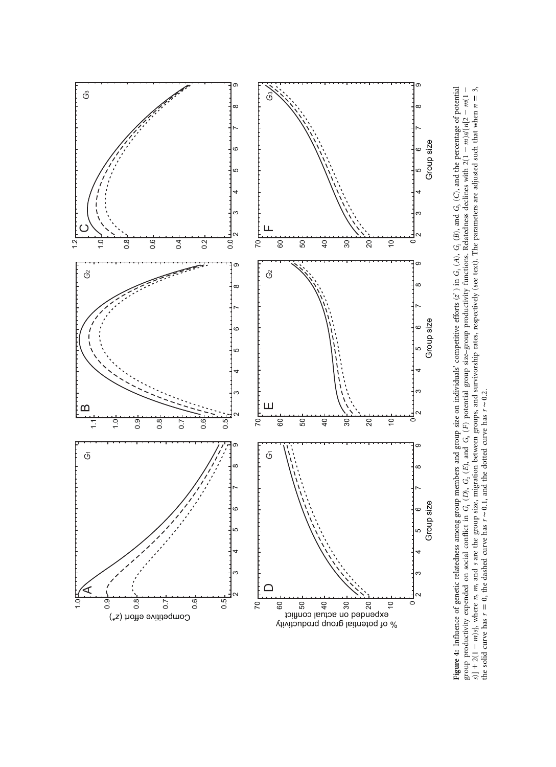

Figure 4: Influence of genetic relatedness among group members and group size on individuals' competitive efforts ( $z^*$  ) in G<sub>1</sub>(A), G<sub>2</sub>(B), and G<sub>3</sub>(C), and the percentage of potential group productivity expended on social conflict in *G*1 (*D*), *G*2 (*E*), and *G*3 (*F*) potential group size–group productivity functions. Relatedness declines with 2(1 - $-m$ )s/{ $n$ [2 - $m(1 -$ , where *n*, *m*, and *s* are the group size, migration between groups, and survivorship rates, respectively (see text). The parameters are adjusted such that when  $n=3$ ,  $s] + 2(1$  $m$ ) *s*, where *n*, *m*, and *s* are the group size, migration between groups, and survivorship rates, respectively (see text). The parameters are adjusted such that when  $n = 3$ the solid curve has  $r = 0$ , the dashed curve has  $r \sim 0.1$ , and the dotted curve has  $r \sim 0.2$ .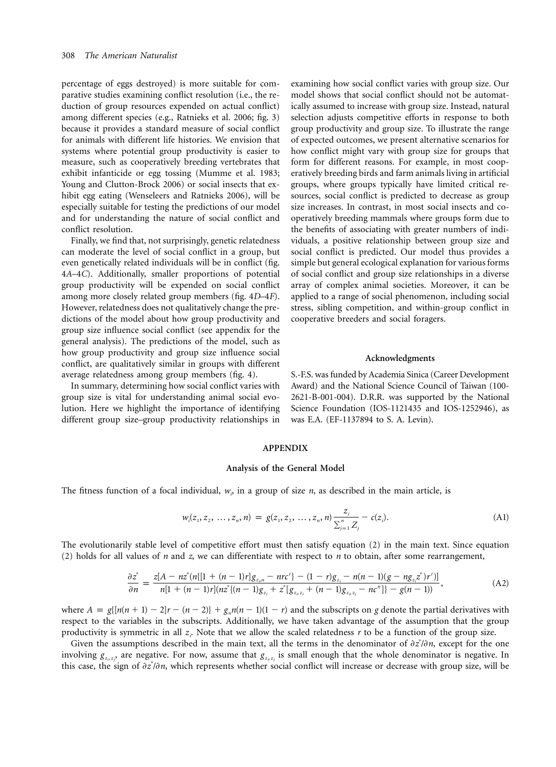percentage of eggs destroyed) is more suitable for comparative studies examining conflict resolution (i.e., the reduction of group resources expended on actual conflict) among different species (e.g., Ratnieks et al. 2006; fig. 3) because it provides a standard measure of social conflict for animals with different life histories. We envision that systems where potential group productivity is easier to measure, such as cooperatively breeding vertebrates that exhibit infanticide or egg tossing (Mumme et al. 1983; Young and Clutton-Brock 2006) or social insects that exhibit egg eating (Wenseleers and Ratnieks 2006), will be especially suitable for testing the predictions of our model and for understanding the nature of social conflict and conflict resolution.

Finally, we find that, not surprisingly, genetic relatedness can moderate the level of social conflict in a group, but even genetically related individuals will be in conflict (fig. 4*A*–4*C*). Additionally, smaller proportions of potential group productivity will be expended on social conflict among more closely related group members (fig. 4*D*–4*F*). However, relatedness does not qualitatively change the predictions of the model about how group productivity and group size influence social conflict (see appendix for the general analysis). The predictions of the model, such as how group productivity and group size influence social conflict, are qualitatively similar in groups with different average relatedness among group members (fig. 4).

In summary, determining how social conflict varies with group size is vital for understanding animal social evolution. Here we highlight the importance of identifying different group size–group productivity relationships in examining how social conflict varies with group size. Our model shows that social conflict should not be automatically assumed to increase with group size. Instead, natural selection adjusts competitive efforts in response to both group productivity and group size. To illustrate the range of expected outcomes, we present alternative scenarios for how conflict might vary with group size for groups that form for different reasons. For example, in most cooperatively breeding birds and farm animals living in artificial groups, where groups typically have limited critical resources, social conflict is predicted to decrease as group size increases. In contrast, in most social insects and cooperatively breeding mammals where groups form due to the benefits of associating with greater numbers of individuals, a positive relationship between group size and social conflict is predicted. Our model thus provides a simple but general ecological explanation for various forms of social conflict and group size relationships in a diverse array of complex animal societies. Moreover, it can be applied to a range of social phenomenon, including social stress, sibling competition, and within-group conflict in cooperative breeders and social foragers.

#### **Acknowledgments**

S.-F.S. was funded by Academia Sinica (Career Development Award) and the National Science Council of Taiwan (100- 2621-B-001-004). D.R.R. was supported by the National Science Foundation (IOS-1121435 and IOS-1252946), as was E.A. (EF-1137894 to S. A. Levin).

#### **APPENDIX**

#### **Analysis of the General Model**

The fitness function of a focal individual,  $w<sub>i</sub>$ , in a group of size *n*, as described in the main article, is

$$
w_i(z_1, z_2, \ldots, z_n, n) = g(z_1, z_2, \ldots, z_n, n) \frac{z_i}{\sum_{j=1}^n Z_j} - c(z_i).
$$
 (A1)

The evolutionarily stable level of competitive effort must then satisfy equation (2) in the main text. Since equation (2) holds for all values of *n* and *z*, we can differentiate with respect to *n* to obtain, after some rearrangement,

$$
\frac{\partial z^*}{\partial n} = \frac{z[A - nz^*(n\{[1 + (n-1)r]g_{z_{\rho}n} - nr c'\} - (1-r)g_{z_i} - n(n-1)(g - ng_{z_i}z^*)r')]}{n[1 + (n-1)r](nz^*\{(n-1)g_{z_i} + z^* [g_{z_i}z_i + (n-1)g_{z_i}z_i - nc'']\} - g(n-1))},\tag{A2}
$$

where  $A = g\{[n(n+1) - 2]r - (n-2)\} + g_n n(n-1)(1-r)$  and the subscripts on *g* denote the partial derivatives with respect to the variables in the subscripts. Additionally, we have taken advantage of the assumption that the group productivity is symmetric in all  $z_i$ . Note that we allow the scaled relatedness  $r$  to be a function of the group size.

Given the assumptions described in the main text, all the terms in the denominator of  $\partial z^i/\partial n$ , except for the one involving  $g_{z_1,z_1}$ , are negative. For now, assume that  $g_{z_1,z_2}$  is small enough that the whole denominator is negative. In this case, the sign of  $\partial z^i/\partial n$ , which represents whether social conflict will increase or decrease with group size, will be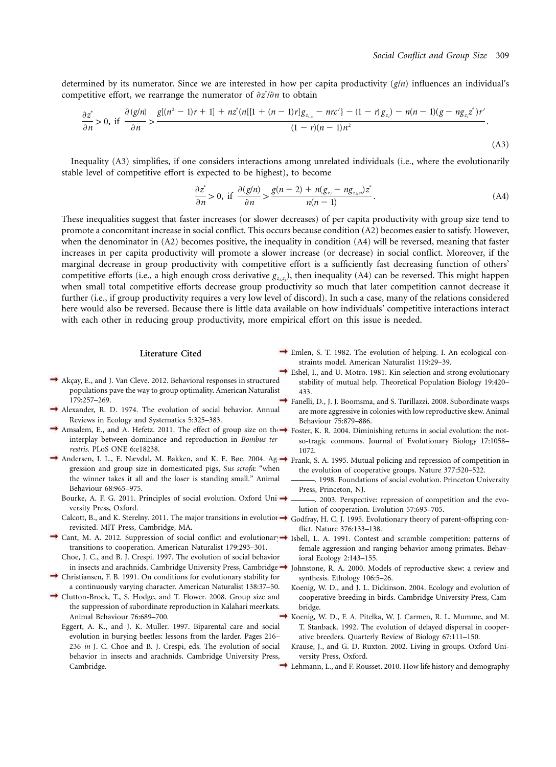determined by its numerator. Since we are interested in how per capita productivity  $(g/n)$  influences an individual's competitive effort, we rearrange the numerator of  $\partial z^2/\partial n$  to obtain

$$
\frac{\partial z^*}{\partial n} > 0, \text{ if } \frac{\partial (g/n)}{\partial n} > \frac{g[(n^2 - 1)r + 1] + nz^*(n\{[1 + (n - 1)r]g_{z_{i,n}} - nr c'\} - (1 - r)g_{z_i}) - n(n - 1)(g - ng_{z_i}z^*)r'}{(1 - r)(n - 1)n^2}.
$$
\n(A3)

Inequality (A3) simplifies, if one considers interactions among unrelated individuals (i.e., where the evolutionarily stable level of competitive effort is expected to be highest), to become

$$
\frac{\partial z^*}{\partial n} > 0, \text{ if } \frac{\partial (g/n)}{\partial n} > \frac{g(n-2) + n(g_{z_i} - ng_{z_i, n})z^*}{n(n-1)}.
$$
\n(A4)

These inequalities suggest that faster increases (or slower decreases) of per capita productivity with group size tend to promote a concomitant increase in social conflict. This occurs because condition (A2) becomes easier to satisfy. However, when the denominator in (A2) becomes positive, the inequality in condition (A4) will be reversed, meaning that faster increases in per capita productivity will promote a slower increase (or decrease) in social conflict. Moreover, if the marginal decrease in group productivity with competitive effort is a sufficiently fast decreasing function of others' competitive efforts (i.e., a high enough cross derivative  $g_{z_1z_1}$ ), then inequality (A4) can be reversed. This might happen when small total competitive efforts decrease group productivity so much that later competition cannot decrease it further (i.e., if group productivity requires a very low level of discord). In such a case, many of the relations considered here would also be reversed. Because there is little data available on how individuals' competitive interactions interact with each other in reducing group productivity, more empirical effort on this issue is needed.

#### **Literature Cited**

- $\rightarrow$  Emlen, S. T. 1982. The evolution of helping. I. An ecological constraints model. American Naturalist 119:29–39.
- $\rightarrow$  Akçay, E., and J. Van Cleve. 2012. Behavioral responses in structured populations pave the way to group optimality. American Naturalist 179:257–269.
- Alexander, R. D. 1974. The evolution of social behavior. Annual Reviews in Ecology and Systematics 5:325–383.
- Amsalem, E., and A. Hefetz. 2011. The effect of group size on the roster, K. R. 2004. Diminishing returns in social evolution: the notinterplay between dominance and reproduction in *Bombus terrestris*. PLoS ONE 6:e18238.
- Andersen, I. L., E. Nævdal, M. Bakken, and K. E. Bøe. 2004. Ag → Frank, S. A. 1995. Mutual policing and repression of competition in gression and group size in domesticated pigs, *Sus scrofa*: "when the winner takes it all and the loser is standing small." Animal Behaviour 68:965–975.
	- Bourke, A. F. G. 2011. Principles of social evolution. Oxford Uni $\rightarrow$ versity Press, Oxford.
	- Calcott, B., and K. Sterelny. 2011. The major transitions in evolution  $\rightarrow$ revisited. MIT Press, Cambridge, MA.
- Cant, M. A. 2012. Suppression of social conflict and evolutionar  $\rightarrow$  Isbell, L. A. 1991. Contest and scramble competition: patterns of transitions to cooperation. American Naturalist 179:293–301.
- Choe, J. C., and B. J. Crespi. 1997. The evolution of social behavior in insects and arachnids. Cambridge University Press, Cambridge $\rightarrow$
- Christiansen, F. B. 1991. On conditions for evolutionary stability for a continuously varying character. American Naturalist 138:37–50.
- Clutton-Brock, T., S. Hodge, and T. Flower. 2008. Group size and the suppression of subordinate reproduction in Kalahari meerkats. Animal Behaviour 76:689–700.
	- Eggert, A. K., and J. K. Muller. 1997. Biparental care and social evolution in burying beetles: lessons from the larder. Pages 216– 236 *in* J. C. Choe and B. J. Crespi, eds. The evolution of social behavior in insects and arachnids. Cambridge University Press, Cambridge.
- Eshel, I., and U. Motro. 1981. Kin selection and strong evolutionary stability of mutual help. Theoretical Population Biology 19:420– 433.
- Fanelli, D., J. J. Boomsma, and S. Turillazzi. 2008. Subordinate wasps are more aggressive in colonies with low reproductive skew. Animal Behaviour 75:879–886.
- so-tragic commons. Journal of Evolutionary Biology 17:1058– 1072.
- the evolution of cooperative groups. Nature 377:520–522.
- ———. 1998. Foundations of social evolution. Princeton University Press, Princeton, NJ.
- ———. 2003. Perspective: repression of competition and the evolution of cooperation. Evolution 57:693–705.
- Godfray, H. C. J. 1995. Evolutionary theory of parent-offspring conflict. Nature 376:133–138.
- female aggression and ranging behavior among primates. Behavioral Ecology 2:143–155.
- Johnstone, R. A. 2000. Models of reproductive skew: a review and synthesis. Ethology 106:5–26.
- Koenig, W. D., and J. L. Dickinson. 2004. Ecology and evolution of cooperative breeding in birds. Cambridge University Press, Cambridge.
- Koenig, W. D., F. A. Pitelka, W. J. Carmen, R. L. Mumme, and M. T. Stanback. 1992. The evolution of delayed dispersal in cooperative breeders. Quarterly Review of Biology 67:111–150.
- Krause, J., and G. D. Ruxton. 2002. Living in groups. Oxford University Press, Oxford.
- Lehmann, L., and F. Rousset. 2010. How life history and demography